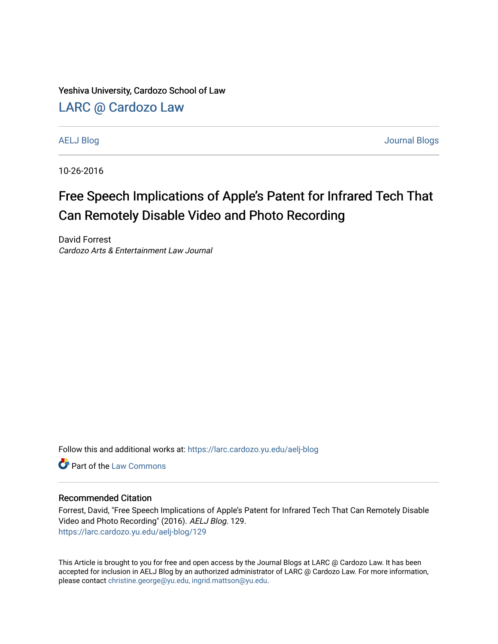Yeshiva University, Cardozo School of Law

### [LARC @ Cardozo Law](https://larc.cardozo.yu.edu/)

[AELJ Blog](https://larc.cardozo.yu.edu/aelj-blog) [Journal Blogs](https://larc.cardozo.yu.edu/journal-blogs) 

10-26-2016

## Free Speech Implications of Apple's Patent for Infrared Tech That Can Remotely Disable Video and Photo Recording

David Forrest Cardozo Arts & Entertainment Law Journal

Follow this and additional works at: [https://larc.cardozo.yu.edu/aelj-blog](https://larc.cardozo.yu.edu/aelj-blog?utm_source=larc.cardozo.yu.edu%2Faelj-blog%2F129&utm_medium=PDF&utm_campaign=PDFCoverPages) 

**C** Part of the [Law Commons](http://network.bepress.com/hgg/discipline/578?utm_source=larc.cardozo.yu.edu%2Faelj-blog%2F129&utm_medium=PDF&utm_campaign=PDFCoverPages)

#### Recommended Citation

Forrest, David, "Free Speech Implications of Apple's Patent for Infrared Tech That Can Remotely Disable Video and Photo Recording" (2016). AELJ Blog. 129. [https://larc.cardozo.yu.edu/aelj-blog/129](https://larc.cardozo.yu.edu/aelj-blog/129?utm_source=larc.cardozo.yu.edu%2Faelj-blog%2F129&utm_medium=PDF&utm_campaign=PDFCoverPages) 

This Article is brought to you for free and open access by the Journal Blogs at LARC @ Cardozo Law. It has been accepted for inclusion in AELJ Blog by an authorized administrator of LARC @ Cardozo Law. For more information, please contact [christine.george@yu.edu, ingrid.mattson@yu.edu.](mailto:christine.george@yu.edu,%20ingrid.mattson@yu.edu)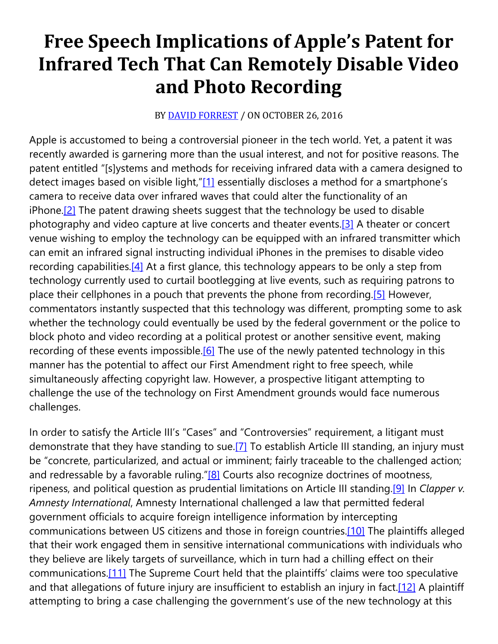# **Free Speech Implications of Apple's Patent for Infrared Tech That Can Remotely Disable Video and Photo Recording**

#### BY **[DAVID FORREST](https://cardozoaelj.com/author/davidforrest/)** / ON OCTOBER 26, 2016

Apple is accustomed to being a controversial pioneer in the tech world. Yet, a patent it was recently awarded is garnering more than the usual interest, and not for positive reasons. The patent entitled "[s]ystems and methods for receiving infrared data with a camera designed to detect images based on visible light,["\[1\]](https://cardozoaelj.com/2016/10/26/free-speech-implications-apples-patent-infrared-tech-can-remotely-disable-video-photo-recording/#_ftn1) essentially discloses a method for a smartphone's camera to receive data over infrared waves that could alter the functionality of an iPhone[.\[2\]](https://cardozoaelj.com/2016/10/26/free-speech-implications-apples-patent-infrared-tech-can-remotely-disable-video-photo-recording/#_ftn2) The patent drawing sheets suggest that the technology be used to disable photography and video capture at live concerts and theater events.<sup>[3]</sup> A theater or concert venue wishing to employ the technology can be equipped with an infrared transmitter which can emit an infrared signal instructing individual iPhones in the premises to disable video recording capabilities. $[4]$  At a first glance, this technology appears to be only a step from technology currently used to curtail bootlegging at live events, such as requiring patrons to place their cellphones in a pouch that prevents the phone from recording.<sup>[5]</sup> However, commentators instantly suspected that this technology was different, prompting some to ask whether the technology could eventually be used by the federal government or the police to block photo and video recording at a political protest or another sensitive event, making recording of these events impossible.<sup>[6]</sup> The use of the newly patented technology in this manner has the potential to affect our First Amendment right to free speech, while simultaneously affecting copyright law. However, a prospective litigant attempting to challenge the use of the technology on First Amendment grounds would face numerous challenges.

In order to satisfy the Article III's "Cases" and "Controversies" requirement, a litigant must demonstrate that they have standing to sue[.\[7\]](https://cardozoaelj.com/2016/10/26/free-speech-implications-apples-patent-infrared-tech-can-remotely-disable-video-photo-recording/#_ftn7) To establish Article III standing, an injury must be "concrete, particularized, and actual or imminent; fairly traceable to the challenged action; and redressable by a favorable ruling." $[8]$  Courts also recognize doctrines of mootness, ripeness, and political question as prudential limitations on Article III standing[.\[9\]](https://cardozoaelj.com/2016/10/26/free-speech-implications-apples-patent-infrared-tech-can-remotely-disable-video-photo-recording/#_ftn9) In *Clapper v. Amnesty International*, Amnesty International challenged a law that permitted federal government officials to acquire foreign intelligence information by intercepting communications between US citizens and those in foreign countries[.\[10\]](https://cardozoaelj.com/2016/10/26/free-speech-implications-apples-patent-infrared-tech-can-remotely-disable-video-photo-recording/#_ftn10) The plaintiffs alleged that their work engaged them in sensitive international communications with individuals who they believe are likely targets of surveillance, which in turn had a chilling effect on their communications[.\[11\]](https://cardozoaelj.com/2016/10/26/free-speech-implications-apples-patent-infrared-tech-can-remotely-disable-video-photo-recording/#_ftn11) The Supreme Court held that the plaintiffs' claims were too speculative and that allegations of future injury are insufficient to establish an injury in fact.<sup>[12]</sup> A plaintiff attempting to bring a case challenging the government's use of the new technology at this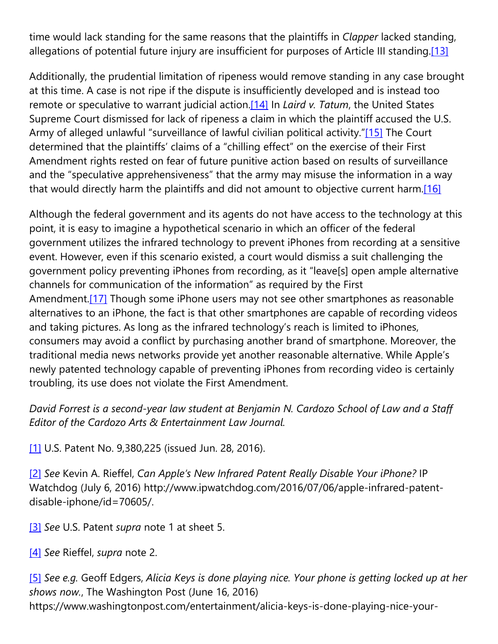time would lack standing for the same reasons that the plaintiffs in *Clapper* lacked standing, allegations of potential future injury are insufficient for purposes of Article III standing[.\[13\]](https://cardozoaelj.com/2016/10/26/free-speech-implications-apples-patent-infrared-tech-can-remotely-disable-video-photo-recording/#_ftn13)

Additionally, the prudential limitation of ripeness would remove standing in any case brought at this time. A case is not ripe if the dispute is insufficiently developed and is instead too remote or speculative to warrant judicial action[.\[14\]](https://cardozoaelj.com/2016/10/26/free-speech-implications-apples-patent-infrared-tech-can-remotely-disable-video-photo-recording/#_ftn14) In *Laird v. Tatum*, the United States Supreme Court dismissed for lack of ripeness a claim in which the plaintiff accused the U.S. Army of alleged unlawful "surveillance of lawful civilian political activity.["\[15\]](https://cardozoaelj.com/2016/10/26/free-speech-implications-apples-patent-infrared-tech-can-remotely-disable-video-photo-recording/#_ftn15) The Court determined that the plaintiffs' claims of a "chilling effect" on the exercise of their First Amendment rights rested on fear of future punitive action based on results of surveillance and the "speculative apprehensiveness" that the army may misuse the information in a way that would directly harm the plaintiffs and did not amount to objective current harm.<sup>[16]</sup>

Although the federal government and its agents do not have access to the technology at this point, it is easy to imagine a hypothetical scenario in which an officer of the federal government utilizes the infrared technology to prevent iPhones from recording at a sensitive event. However, even if this scenario existed, a court would dismiss a suit challenging the government policy preventing iPhones from recording, as it "leave[s] open ample alternative channels for communication of the information" as required by the First Amendment.<sup>[17]</sup> Though some iPhone users may not see other smartphones as reasonable alternatives to an iPhone, the fact is that other smartphones are capable of recording videos and taking pictures. As long as the infrared technology's reach is limited to iPhones, consumers may avoid a conflict by purchasing another brand of smartphone. Moreover, the traditional media news networks provide yet another reasonable alternative. While Apple's newly patented technology capable of preventing iPhones from recording video is certainly troubling, its use does not violate the First Amendment.

*David Forrest is a second-year law student at Benjamin N. Cardozo School of Law and a Staff Editor of the Cardozo Arts & Entertainment Law Journal.*

[\[1\]](https://cardozoaelj.com/2016/10/26/free-speech-implications-apples-patent-infrared-tech-can-remotely-disable-video-photo-recording/#_ftnref1) U.S. Patent No. 9,380,225 (issued Jun. 28, 2016).

[\[2\]](https://cardozoaelj.com/2016/10/26/free-speech-implications-apples-patent-infrared-tech-can-remotely-disable-video-photo-recording/#_ftnref2) *See* Kevin A. Rieffel, *Can Apple's New Infrared Patent Really Disable Your iPhone?* IP Watchdog (July 6, 2016) http://www.ipwatchdog.com/2016/07/06/apple-infrared-patentdisable-iphone/id=70605/.

[\[3\]](https://cardozoaelj.com/2016/10/26/free-speech-implications-apples-patent-infrared-tech-can-remotely-disable-video-photo-recording/#_ftnref3) *See* U.S. Patent *supra* note 1 at sheet 5.

[\[4\]](https://cardozoaelj.com/2016/10/26/free-speech-implications-apples-patent-infrared-tech-can-remotely-disable-video-photo-recording/#_ftnref4) *See* Rieffel, *supra* note 2.

[\[5\]](https://cardozoaelj.com/2016/10/26/free-speech-implications-apples-patent-infrared-tech-can-remotely-disable-video-photo-recording/#_ftnref5) *See e.g.* Geoff Edgers, *Alicia Keys is done playing nice. Your phone is getting locked up at her shows now.*, The Washington Post (June 16, 2016) https://www.washingtonpost.com/entertainment/alicia-keys-is-done-playing-nice-your